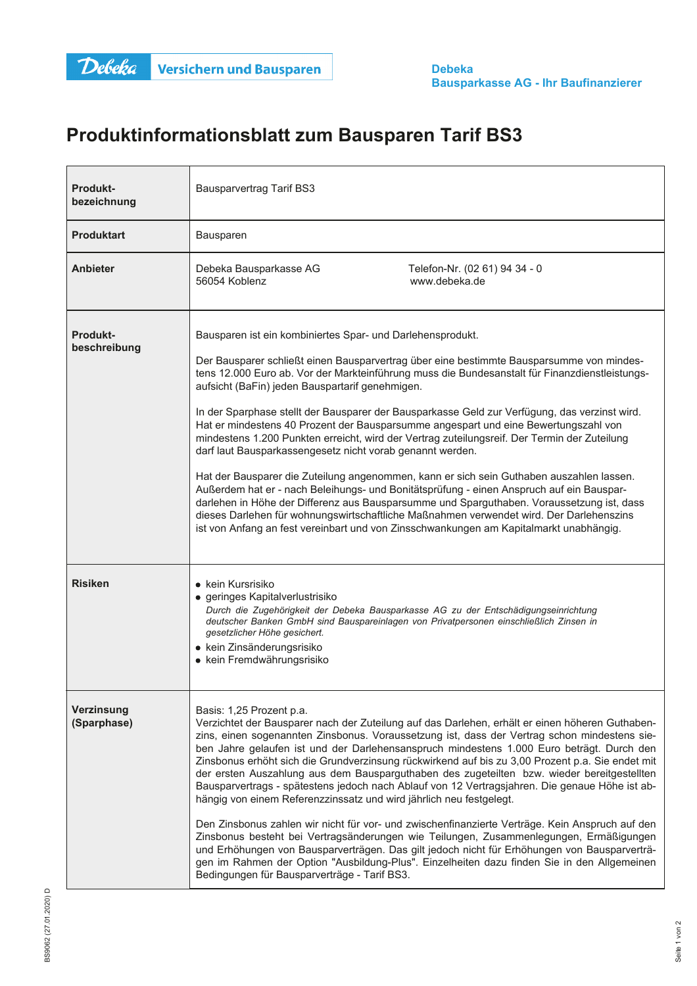## Produktinformationsblatt zum Bausparen Tarif BS3

| <b>Produkt-</b><br>bezeichnung  | <b>Bausparvertrag Tarif BS3</b>                                                                                                                                                                                                                                                                                                                                                                                                                                                                                                                                                                                                                                                                                                                                                                                                                                                                                                                                                                                                                                                                                                                 |  |  |  |
|---------------------------------|-------------------------------------------------------------------------------------------------------------------------------------------------------------------------------------------------------------------------------------------------------------------------------------------------------------------------------------------------------------------------------------------------------------------------------------------------------------------------------------------------------------------------------------------------------------------------------------------------------------------------------------------------------------------------------------------------------------------------------------------------------------------------------------------------------------------------------------------------------------------------------------------------------------------------------------------------------------------------------------------------------------------------------------------------------------------------------------------------------------------------------------------------|--|--|--|
| <b>Produktart</b>               | Bausparen                                                                                                                                                                                                                                                                                                                                                                                                                                                                                                                                                                                                                                                                                                                                                                                                                                                                                                                                                                                                                                                                                                                                       |  |  |  |
| <b>Anbieter</b>                 | Debeka Bausparkasse AG<br>Telefon-Nr. (02 61) 94 34 - 0<br>56054 Koblenz<br>www.debeka.de                                                                                                                                                                                                                                                                                                                                                                                                                                                                                                                                                                                                                                                                                                                                                                                                                                                                                                                                                                                                                                                       |  |  |  |
| <b>Produkt-</b><br>beschreibung | Bausparen ist ein kombiniertes Spar- und Darlehensprodukt.<br>Der Bausparer schließt einen Bausparvertrag über eine bestimmte Bausparsumme von mindes-<br>tens 12.000 Euro ab. Vor der Markteinführung muss die Bundesanstalt für Finanzdienstleistungs-<br>aufsicht (BaFin) jeden Bauspartarif genehmigen.<br>In der Sparphase stellt der Bausparer der Bausparkasse Geld zur Verfügung, das verzinst wird.<br>Hat er mindestens 40 Prozent der Bausparsumme angespart und eine Bewertungszahl von<br>mindestens 1.200 Punkten erreicht, wird der Vertrag zuteilungsreif. Der Termin der Zuteilung<br>darf laut Bausparkassengesetz nicht vorab genannt werden.<br>Hat der Bausparer die Zuteilung angenommen, kann er sich sein Guthaben auszahlen lassen.<br>Außerdem hat er - nach Beleihungs- und Bonitätsprüfung - einen Anspruch auf ein Bauspar-<br>darlehen in Höhe der Differenz aus Bausparsumme und Sparguthaben. Voraussetzung ist, dass<br>dieses Darlehen für wohnungswirtschaftliche Maßnahmen verwendet wird. Der Darlehenszins<br>ist von Anfang an fest vereinbart und von Zinsschwankungen am Kapitalmarkt unabhängig.      |  |  |  |
| <b>Risiken</b>                  | • kein Kursrisiko<br>· geringes Kapitalverlustrisiko<br>Durch die Zugehörigkeit der Debeka Bausparkasse AG zu der Entschädigungseinrichtung<br>deutscher Banken GmbH sind Bauspareinlagen von Privatpersonen einschließlich Zinsen in<br>gesetzlicher Höhe gesichert.<br>• kein Zinsänderungsrisiko<br>• kein Fremdwährungsrisiko                                                                                                                                                                                                                                                                                                                                                                                                                                                                                                                                                                                                                                                                                                                                                                                                               |  |  |  |
| Verzinsung<br>(Sparphase)       | Basis: 1,25 Prozent p.a.<br>Verzichtet der Bausparer nach der Zuteilung auf das Darlehen, erhält er einen höheren Guthaben-<br>zins, einen sogenannten Zinsbonus. Voraussetzung ist, dass der Vertrag schon mindestens sie-<br>ben Jahre gelaufen ist und der Darlehensanspruch mindestens 1.000 Euro beträgt. Durch den<br>Zinsbonus erhöht sich die Grundverzinsung rückwirkend auf bis zu 3,00 Prozent p.a. Sie endet mit<br>der ersten Auszahlung aus dem Bausparguthaben des zugeteilten bzw. wieder bereitgestellten<br>Bausparvertrags - spätestens jedoch nach Ablauf von 12 Vertragsjahren. Die genaue Höhe ist ab-<br>hängig von einem Referenzzinssatz und wird jährlich neu festgelegt.<br>Den Zinsbonus zahlen wir nicht für vor- und zwischenfinanzierte Verträge. Kein Anspruch auf den<br>Zinsbonus besteht bei Vertragsänderungen wie Teilungen, Zusammenlegungen, Ermäßigungen<br>und Erhöhungen von Bausparverträgen. Das gilt jedoch nicht für Erhöhungen von Bausparverträ-<br>gen im Rahmen der Option "Ausbildung-Plus". Einzelheiten dazu finden Sie in den Allgemeinen<br>Bedingungen für Bausparverträge - Tarif BS3. |  |  |  |